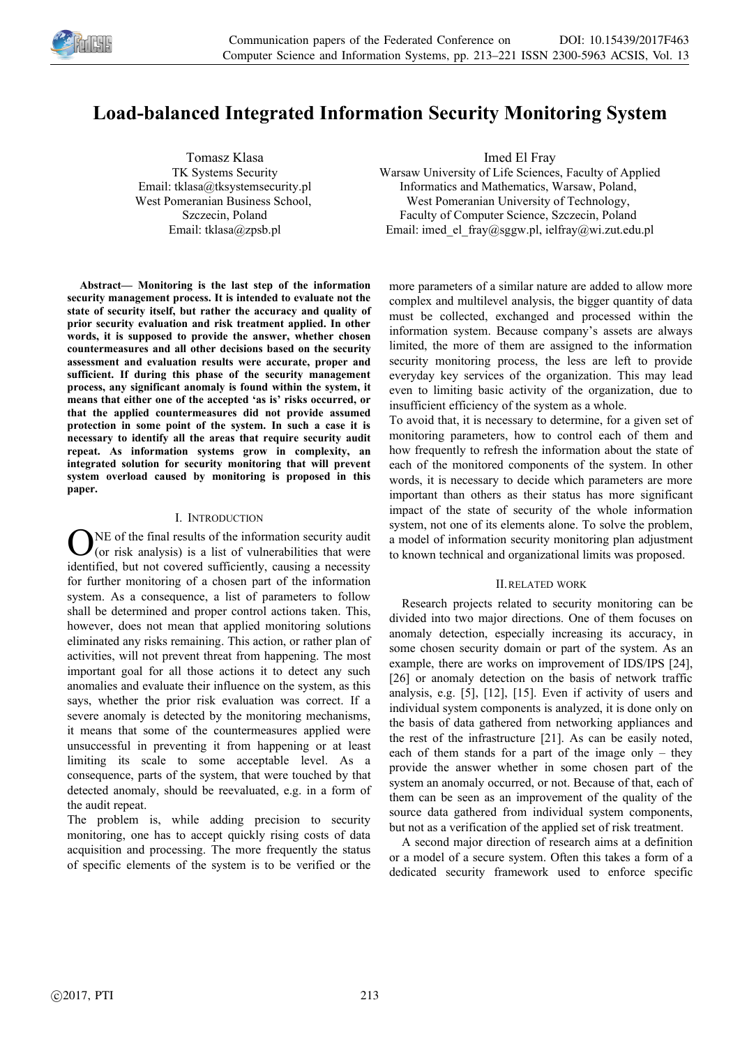

# **Load-balanced Integrated Information Security Monitoring System**

Tomasz Klasa TK Systems Security Email: tklasa@tksystemsecurity.pl West Pomeranian Business School, Szczecin, Poland Email: tklasa@zpsb.pl

**Abstract— Monitoring is the last step of the information security management process. It is intended to evaluate not the state of security itself, but rather the accuracy and quality of prior security evaluation and risk treatment applied. In other words, it is supposed to provide the answer, whether chosen countermeasures and all other decisions based on the security assessment and evaluation results were accurate, proper and sufficient. If during this phase of the security management process, any significant anomaly is found within the system, it means that either one of the accepted 'as is' risks occurred, or that the applied countermeasures did not provide assumed protection in some point of the system. In such a case it is necessary to identify all the areas that require security audit repeat. As information systems grow in complexity, an integrated solution for security monitoring that will prevent system overload caused by monitoring is proposed in this paper.**

#### I. INTRODUCTION

NE of the final results of the information security audit (or risk analysis) is a list of vulnerabilities that were identified, but not covered sufficiently, causing a necessity for further monitoring of a chosen part of the information system. As a consequence, a list of parameters to follow shall be determined and proper control actions taken. This, however, does not mean that applied monitoring solutions eliminated any risks remaining. This action, or rather plan of activities, will not prevent threat from happening. The most important goal for all those actions it to detect any such anomalies and evaluate their influence on the system, as this says, whether the prior risk evaluation was correct. If a severe anomaly is detected by the monitoring mechanisms, it means that some of the countermeasures applied were unsuccessful in preventing it from happening or at least limiting its scale to some acceptable level. As a consequence, parts of the system, that were touched by that detected anomaly, should be reevaluated, e.g. in a form of the audit repeat. O

The problem is, while adding precision to security monitoring, one has to accept quickly rising costs of data acquisition and processing. The more frequently the status of specific elements of the system is to be verified or the Imed El Fray

Warsaw University of Life Sciences, Faculty of Applied Informatics and Mathematics, Warsaw, Poland, West Pomeranian University of Technology, Faculty of Computer Science, Szczecin, Poland Email: imed\_el\_fray@sggw.pl, ielfray@wi.zut.edu.pl

more parameters of a similar nature are added to allow more complex and multilevel analysis, the bigger quantity of data must be collected, exchanged and processed within the information system. Because company's assets are always limited, the more of them are assigned to the information security monitoring process, the less are left to provide everyday key services of the organization. This may lead even to limiting basic activity of the organization, due to insufficient efficiency of the system as a whole.

To avoid that, it is necessary to determine, for a given set of monitoring parameters, how to control each of them and how frequently to refresh the information about the state of each of the monitored components of the system. In other words, it is necessary to decide which parameters are more important than others as their status has more significant impact of the state of security of the whole information system, not one of its elements alone. To solve the problem, a model of information security monitoring plan adjustment to known technical and organizational limits was proposed.

#### II.RELATED WORK

Research projects related to security monitoring can be divided into two major directions. One of them focuses on anomaly detection, especially increasing its accuracy, in some chosen security domain or part of the system. As an example, there are works on improvement of IDS/IPS [24], [26] or anomaly detection on the basis of network traffic analysis, e.g. [5], [12], [15]. Even if activity of users and individual system components is analyzed, it is done only on the basis of data gathered from networking appliances and the rest of the infrastructure [21]. As can be easily noted, each of them stands for a part of the image only – they provide the answer whether in some chosen part of the system an anomaly occurred, or not. Because of that, each of them can be seen as an improvement of the quality of the source data gathered from individual system components, but not as a verification of the applied set of risk treatment.

A second major direction of research aims at a definition or a model of a secure system. Often this takes a form of a dedicated security framework used to enforce specific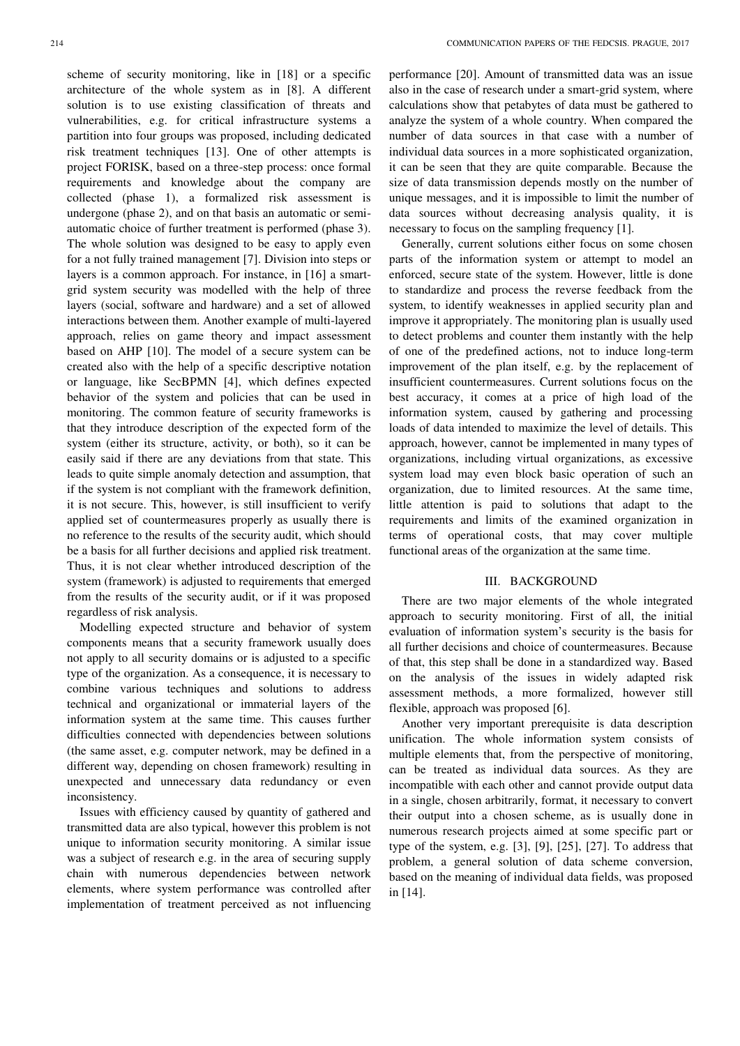scheme of security monitoring, like in [18] or a specific architecture of the whole system as in [8]. A different solution is to use existing classification of threats and vulnerabilities, e.g. for critical infrastructure systems a partition into four groups was proposed, including dedicated risk treatment techniques [13]. One of other attempts is project FORISK, based on a three-step process: once formal requirements and knowledge about the company are collected (phase 1), a formalized risk assessment is undergone (phase 2), and on that basis an automatic or semiautomatic choice of further treatment is performed (phase 3). The whole solution was designed to be easy to apply even for a not fully trained management [7]. Division into steps or layers is a common approach. For instance, in [16] a smartgrid system security was modelled with the help of three layers (social, software and hardware) and a set of allowed interactions between them. Another example of multi-layered approach, relies on game theory and impact assessment based on AHP [10]. The model of a secure system can be created also with the help of a specific descriptive notation or language, like SecBPMN [4], which defines expected behavior of the system and policies that can be used in monitoring. The common feature of security frameworks is that they introduce description of the expected form of the system (either its structure, activity, or both), so it can be easily said if there are any deviations from that state. This leads to quite simple anomaly detection and assumption, that if the system is not compliant with the framework definition, it is not secure. This, however, is still insufficient to verify applied set of countermeasures properly as usually there is no reference to the results of the security audit, which should be a basis for all further decisions and applied risk treatment.

Thus, it is not clear whether introduced description of the system (framework) is adjusted to requirements that emerged from the results of the security audit, or if it was proposed regardless of risk analysis. Modelling expected structure and behavior of system

components means that a security framework usually does not apply to all security domains or is adjusted to a specific type of the organization. As a consequence, it is necessary to combine various techniques and solutions to address technical and organizational or immaterial layers of the information system at the same time. This causes further difficulties connected with dependencies between solutions (the same asset, e.g. computer network, may be defined in a different way, depending on chosen framework) resulting in unexpected and unnecessary data redundancy or even inconsistency.

Issues with efficiency caused by quantity of gathered and transmitted data are also typical, however this problem is not unique to information security monitoring. A similar issue was a subject of research e.g. in the area of securing supply chain with numerous dependencies between network elements, where system performance was controlled after implementation of treatment perceived as not influencing performance [20]. Amount of transmitted data was an issue also in the case of research under a smart-grid system, where calculations show that petabytes of data must be gathered to analyze the system of a whole country. When compared the number of data sources in that case with a number of individual data sources in a more sophisticated organization, it can be seen that they are quite comparable. Because the size of data transmission depends mostly on the number of unique messages, and it is impossible to limit the number of data sources without decreasing analysis quality, it is necessary to focus on the sampling frequency [1].

Generally, current solutions either focus on some chosen parts of the information system or attempt to model an enforced, secure state of the system. However, little is done to standardize and process the reverse feedback from the system, to identify weaknesses in applied security plan and improve it appropriately. The monitoring plan is usually used to detect problems and counter them instantly with the help of one of the predefined actions, not to induce long-term improvement of the plan itself, e.g. by the replacement of insufficient countermeasures. Current solutions focus on the best accuracy, it comes at a price of high load of the information system, caused by gathering and processing loads of data intended to maximize the level of details. This approach, however, cannot be implemented in many types of organizations, including virtual organizations, as excessive system load may even block basic operation of such an organization, due to limited resources. At the same time, little attention is paid to solutions that adapt to the requirements and limits of the examined organization in terms of operational costs, that may cover multiple functional areas of the organization at the same time.

#### III. BACKGROUND

There are two major elements of the whole integrated approach to security monitoring. First of all, the initial evaluation of information system's security is the basis for all further decisions and choice of countermeasures. Because of that, this step shall be done in a standardized way. Based on the analysis of the issues in widely adapted risk assessment methods, a more formalized, however still flexible, approach was proposed [6].

Another very important prerequisite is data description unification. The whole information system consists of multiple elements that, from the perspective of monitoring, can be treated as individual data sources. As they are incompatible with each other and cannot provide output data in a single, chosen arbitrarily, format, it necessary to convert their output into a chosen scheme, as is usually done in numerous research projects aimed at some specific part or type of the system, e.g.  $[3]$ ,  $[9]$ ,  $[25]$ ,  $[27]$ . To address that problem, a general solution of data scheme conversion, based on the meaning of individual data fields, was proposed in [14].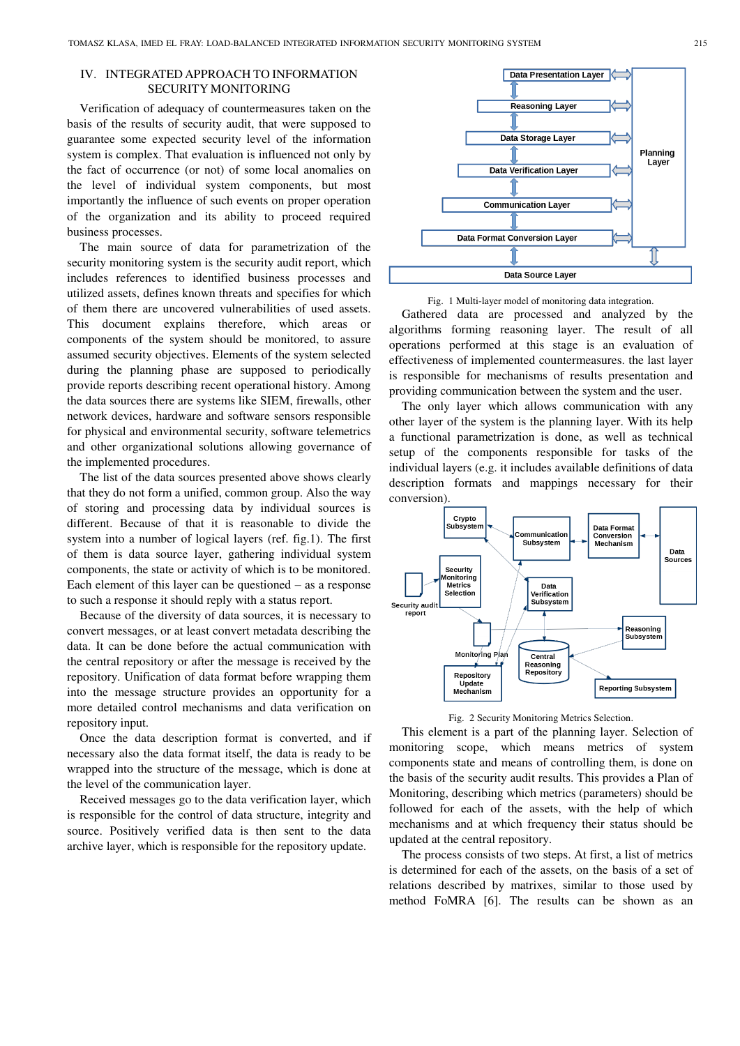## IV. INTEGRATED APPROACH TO INFORMATION SECURITY MONITORING

Verification of adequacy of countermeasures taken on the basis of the results of security audit, that were supposed to guarantee some expected security level of the information system is complex. That evaluation is influenced not only by the fact of occurrence (or not) of some local anomalies on the level of individual system components, but most importantly the influence of such events on proper operation of the organization and its ability to proceed required business processes.

The main source of data for parametrization of the security monitoring system is the security audit report, which includes references to identified business processes and utilized assets, defines known threats and specifies for which of them there are uncovered vulnerabilities of used assets. This document explains therefore, which areas or components of the system should be monitored, to assure assumed security objectives. Elements of the system selected during the planning phase are supposed to periodically provide reports describing recent operational history. Among the data sources there are systems like SIEM, firewalls, other network devices, hardware and software sensors responsible for physical and environmental security, software telemetrics and other organizational solutions allowing governance of the implemented procedures.

The list of the data sources presented above shows clearly that they do not form a unified, common group. Also the way of storing and processing data by individual sources is different. Because of that it is reasonable to divide the system into a number of logical layers (ref. fig.1). The first of them is data source layer, gathering individual system components, the state or activity of which is to be monitored. Each element of this layer can be questioned – as a response to such a response it should reply with a status report.

Because of the diversity of data sources, it is necessary to convert messages, or at least convert metadata describing the data. It can be done before the actual communication with the central repository or after the message is received by the repository. Unification of data format before wrapping them into the message structure provides an opportunity for a more detailed control mechanisms and data verification on repository input.

Once the data description format is converted, and if necessary also the data format itself, the data is ready to be wrapped into the structure of the message, which is done at the level of the communication layer.

Received messages go to the data verification layer, which is responsible for the control of data structure, integrity and source. Positively verified data is then sent to the data archive layer, which is responsible for the repository update.



Fig. 1 Multi-layer model of monitoring data integration.

Gathered data are processed and analyzed by the algorithms forming reasoning layer. The result of all operations performed at this stage is an evaluation of effectiveness of implemented countermeasures. the last layer is responsible for mechanisms of results presentation and providing communication between the system and the user.

The only layer which allows communication with any other layer of the system is the planning layer. With its help a functional parametrization is done, as well as technical setup of the components responsible for tasks of the individual layers (e.g. it includes available definitions of data description formats and mappings necessary for their conversion).



Fig. 2 Security Monitoring Metrics Selection.

This element is a part of the planning layer. Selection of monitoring scope, which means metrics of system components state and means of controlling them, is done on the basis of the security audit results. This provides a Plan of Monitoring, describing which metrics (parameters) should be followed for each of the assets, with the help of which mechanisms and at which frequency their status should be updated at the central repository.

The process consists of two steps. At first, a list of metrics is determined for each of the assets, on the basis of a set of relations described by matrixes, similar to those used by method FoMRA [6]. The results can be shown as an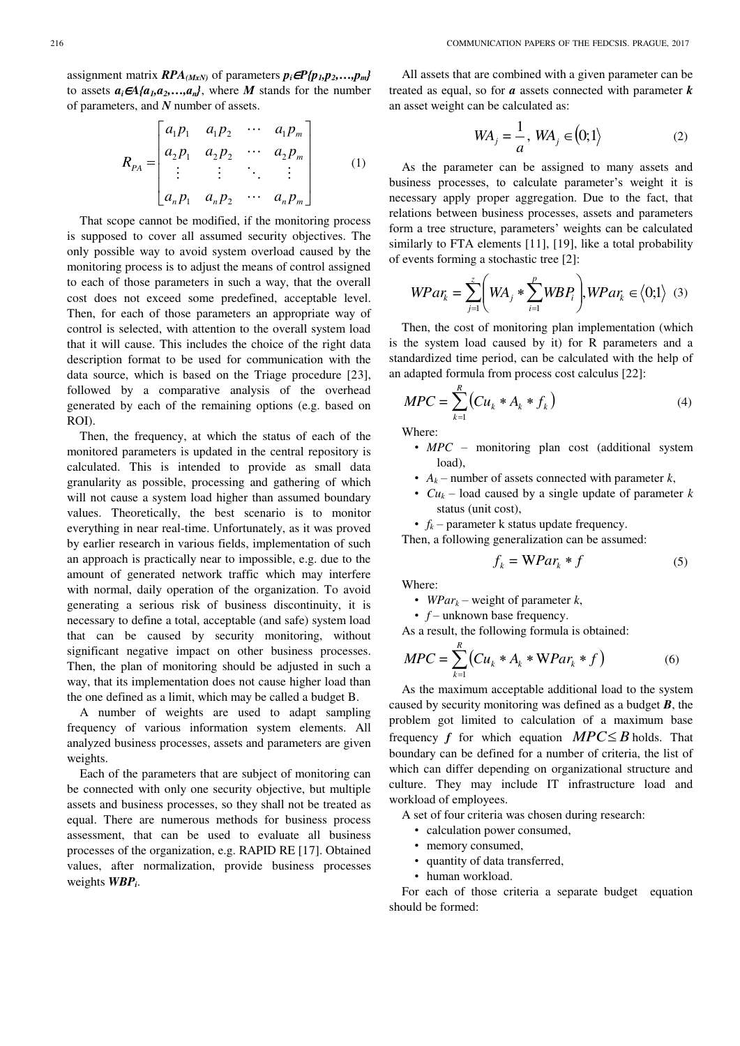assignment matrix  $RPA$ <sub>(MxN)</sub> of parameters  $p_i \in P$ { $p_1, p_2, \ldots, p_m$ } to assets  $a_i \in A$ { $a_1$ , $a_2$ ,..., $a_n$ }, where *M* stands for the number of parameters, and *N* number of assets.

$$
R_{PA} = \begin{bmatrix} a_1 p_1 & a_1 p_2 & \cdots & a_1 p_m \\ a_2 p_1 & a_2 p_2 & \cdots & a_2 p_m \\ \vdots & \vdots & \ddots & \vdots \\ a_n p_1 & a_n p_2 & \cdots & a_n p_m \end{bmatrix}
$$
 (1)

That scope cannot be modified, if the monitoring process is supposed to cover all assumed security objectives. The only possible way to avoid system overload caused by the monitoring process is to adjust the means of control assigned to each of those parameters in such a way, that the overall cost does not exceed some predefined, acceptable level. Then, for each of those parameters an appropriate way of control is selected, with attention to the overall system load that it will cause. This includes the choice of the right data description format to be used for communication with the data source, which is based on the Triage procedure [23], followed by a comparative analysis of the overhead generated by each of the remaining options (e.g. based on ROI).

Then, the frequency, at which the status of each of the monitored parameters is updated in the central repository is calculated. This is intended to provide as small data granularity as possible, processing and gathering of which will not cause a system load higher than assumed boundary values. Theoretically, the best scenario is to monitor everything in near real-time. Unfortunately, as it was proved by earlier research in various fields, implementation of such an approach is practically near to impossible, e.g. due to the amount of generated network traffic which may interfere with normal, daily operation of the organization. To avoid generating a serious risk of business discontinuity, it is necessary to define a total, acceptable (and safe) system load that can be caused by security monitoring, without significant negative impact on other business processes. Then, the plan of monitoring should be adjusted in such a way, that its implementation does not cause higher load than the one defined as a limit, which may be called a budget B.

A number of weights are used to adapt sampling frequency of various information system elements. All analyzed business processes, assets and parameters are given weights.

Each of the parameters that are subject of monitoring can be connected with only one security objective, but multiple assets and business processes, so they shall not be treated as equal. There are numerous methods for business process assessment, that can be used to evaluate all business processes of the organization, e.g. RAPID RE [17]. Obtained values, after normalization, provide business processes weights *WBP<sup>i</sup>* .

All assets that are combined with a given parameter can be treated as equal, so for *a* assets connected with parameter *k* an asset weight can be calculated as:

$$
WA_j = \frac{1}{a}, WA_j \in (0;1)
$$
 (2)

As the parameter can be assigned to many assets and business processes, to calculate parameter's weight it is necessary apply proper aggregation. Due to the fact, that relations between business processes, assets and parameters form a tree structure, parameters' weights can be calculated similarly to FTA elements [11], [19], like a total probability of events forming a stochastic tree [2]:

$$
WPar_{k} = \sum_{j=1}^{z} \left( WA_{j} * \sum_{i=1}^{p} WBP_{i} \right), WPar_{k} \in \langle 0; 1 \rangle \tag{3}
$$

Then, the cost of monitoring plan implementation (which is the system load caused by it) for R parameters and a standardized time period, can be calculated with the help of an adapted formula from process cost calculus [22]:

$$
MPC = \sum_{k=1}^{R} (Cu_k * A_k * f_k)
$$
 (4)

Where:

- *MPC* monitoring plan cost (additional system load),
- $A_k$  number of assets connected with parameter *k*,
- *Cu<sup>k</sup>* load caused by a single update of parameter *k* status (unit cost),
- $f_k$  parameter k status update frequency.
- Then, a following generalization can be assumed:

$$
f_k = \mathbf{W} \mathbf{P} a r_k * f \tag{5}
$$

Where:

- *WPar<sub>k</sub>* weight of parameter  $k$ ,
- *f* unknown base frequency.

As a result, the following formula is obtained:

$$
MPC = \sum_{k=1}^{R} \left( Cu_k * A_k * WPar_k * f \right) \tag{6}
$$

As the maximum acceptable additional load to the system caused by security monitoring was defined as a budget *B*, the problem got limited to calculation of a maximum base frequency *f* for which equation  $MPC \leq B$  holds. That boundary can be defined for a number of criteria, the list of which can differ depending on organizational structure and culture. They may include IT infrastructure load and workload of employees.

A set of four criteria was chosen during research:

- calculation power consumed,
- memory consumed,
- quantity of data transferred,
- human workload.

For each of those criteria a separate budget equation should be formed: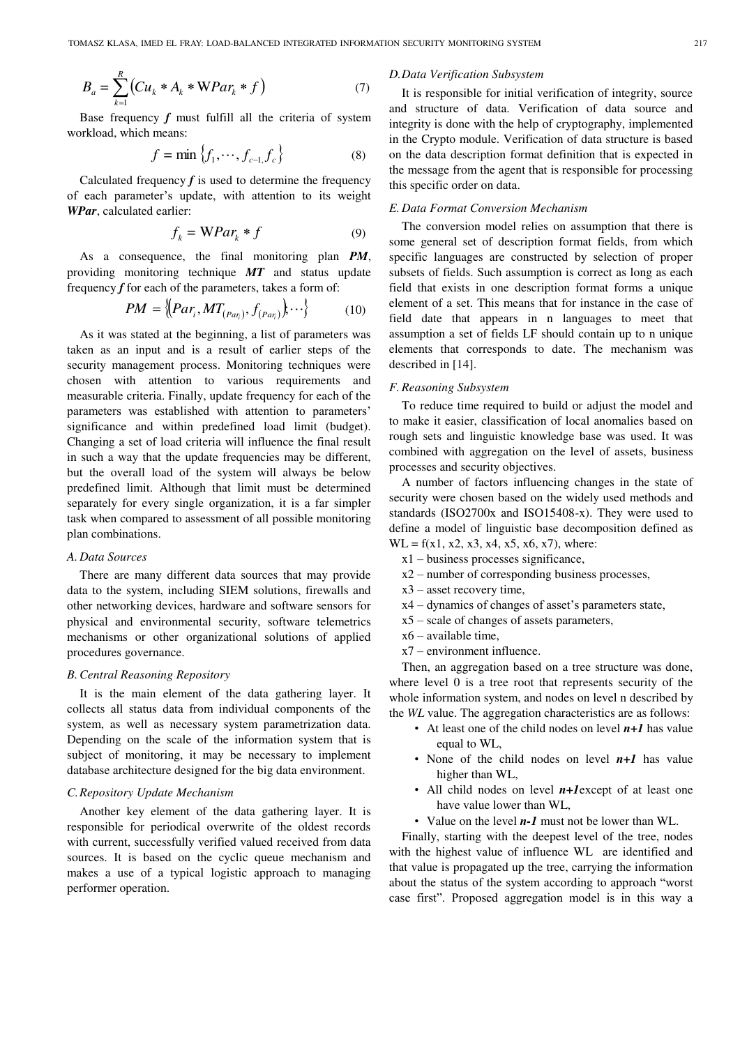$$
B_a = \sum_{k=1}^{R} (Cu_k * A_k * WPar_k * f)
$$
 (7)

Base frequency  $f$  must fulfill all the criteria of system workload, which means:

$$
f = \min\left\{f_1, \cdots, f_{c-1}, f_c\right\} \tag{8}
$$

Calculated frequency  $f$  is used to determine the frequency of each parameter's update, with attention to its weight *WPar*, calculated earlier:

$$
f_k = \mathbf{W} Par_k * f \tag{9}
$$

As a consequence, the final monitoring plan *PM*, providing monitoring technique *MT* and status update frequency *f* for each of the parameters, takes a form of:

$$
PM = \left\{ (Par_i, MT_{(Par_i)}, f_{(Par_i)}), \cdots \right\} \tag{10}
$$

As it was stated at the beginning, a list of parameters was taken as an input and is a result of earlier steps of the security management process. Monitoring techniques were chosen with attention to various requirements and measurable criteria. Finally, update frequency for each of the parameters was established with attention to parameters' significance and within predefined load limit (budget). Changing a set of load criteria will influence the final result in such a way that the update frequencies may be different, but the overall load of the system will always be below predefined limit. Although that limit must be determined separately for every single organization, it is a far simpler task when compared to assessment of all possible monitoring plan combinations.

#### *A. Data Sources*

There are many different data sources that may provide data to the system, including SIEM solutions, firewalls and other networking devices, hardware and software sensors for physical and environmental security, software telemetrics mechanisms or other organizational solutions of applied procedures governance.

#### *B.Central Reasoning Repository*

It is the main element of the data gathering layer. It collects all status data from individual components of the system, as well as necessary system parametrization data. Depending on the scale of the information system that is subject of monitoring, it may be necessary to implement database architecture designed for the big data environment.

#### *C.Repository Update Mechanism*

Another key element of the data gathering layer. It is responsible for periodical overwrite of the oldest records with current, successfully verified valued received from data sources. It is based on the cyclic queue mechanism and makes a use of a typical logistic approach to managing performer operation.

#### *D.Data Verification Subsystem*

It is responsible for initial verification of integrity, source and structure of data. Verification of data source and integrity is done with the help of cryptography, implemented in the Crypto module. Verification of data structure is based on the data description format definition that is expected in the message from the agent that is responsible for processing this specific order on data.

#### *E. Data Format Conversion Mechanism*

The conversion model relies on assumption that there is some general set of description format fields, from which specific languages are constructed by selection of proper subsets of fields. Such assumption is correct as long as each field that exists in one description format forms a unique element of a set. This means that for instance in the case of field date that appears in n languages to meet that assumption a set of fields LF should contain up to n unique elements that corresponds to date. The mechanism was described in [14].

#### *F.Reasoning Subsystem*

To reduce time required to build or adjust the model and to make it easier, classification of local anomalies based on rough sets and linguistic knowledge base was used. It was combined with aggregation on the level of assets, business processes and security objectives.

A number of factors influencing changes in the state of security were chosen based on the widely used methods and standards (ISO2700x and ISO15408-x). They were used to define a model of linguistic base decomposition defined as  $WL = f(x1, x2, x3, x4, x5, x6, x7)$ , where:

- x1 business processes significance,
- x2 number of corresponding business processes,
- x3 asset recovery time,
- x4 dynamics of changes of asset's parameters state,
- x5 scale of changes of assets parameters,
- x6 available time,
- x7 environment influence.

Then, an aggregation based on a tree structure was done, where level 0 is a tree root that represents security of the whole information system, and nodes on level n described by the *WL* value. The aggregation characteristics are as follows:

- At least one of the child nodes on level  $n+1$  has value equal to WL,
- None of the child nodes on level  $n+1$  has value higher than WL,
- All child nodes on level *n+1*except of at least one have value lower than WL,
- Value on the level *n-1* must not be lower than WL.

Finally, starting with the deepest level of the tree, nodes with the highest value of influence WL are identified and that value is propagated up the tree, carrying the information about the status of the system according to approach "worst case first". Proposed aggregation model is in this way a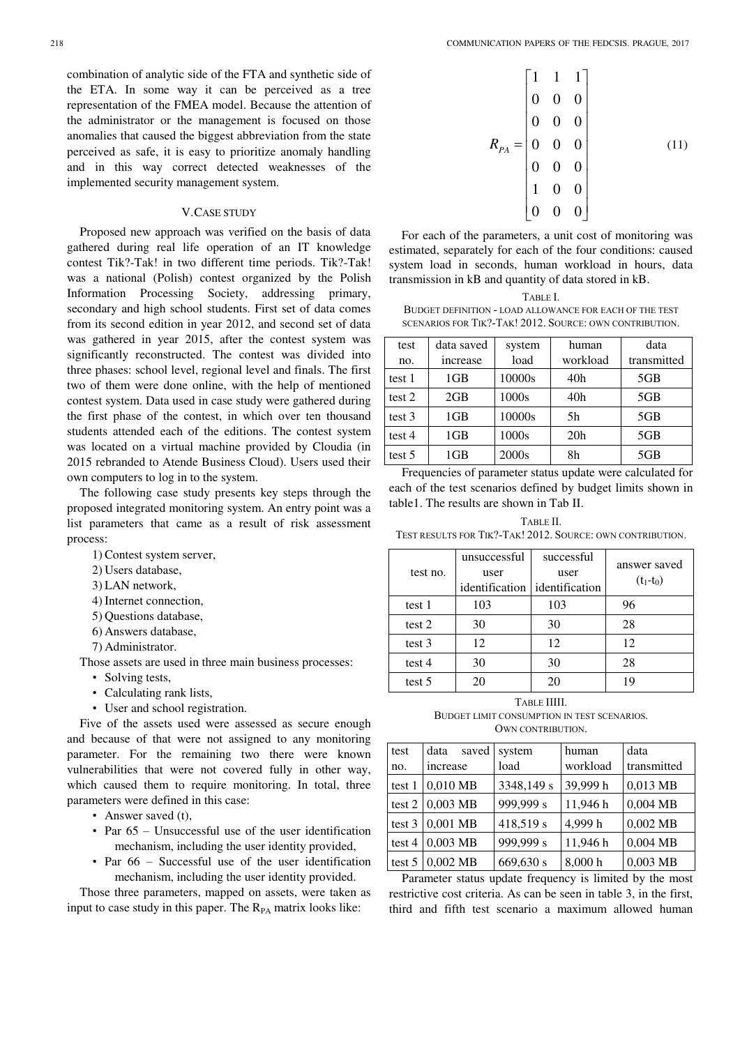combination of analytic side of the FTA and synthetic side of the ETA. In some way it can be perceived as a tree representation of the FMEA model. Because the attention of the administrator or the management is focused on those anomalies that caused the biggest abbreviation from the state perceived as safe, it is easy to prioritize anomaly handling and in this way correct detected weaknesses of the implemented security management system.

#### V.CASE STUDY

Proposed new approach was verified on the basis of data gathered during real life operation of an IT knowledge contest Tik?-Tak! in two different time periods. Tik?-Tak! was a national (Polish) contest organized by the Polish Information Processing Society, addressing primary, secondary and high school students. First set of data comes from its second edition in year 2012, and second set of data was gathered in year 2015, after the contest system was significantly reconstructed. The contest was divided into three phases: school level, regional level and finals. The first two of them were done online, with the help of mentioned contest system. Data used in case study were gathered during the first phase of the contest, in which over ten thousand students attended each of the editions. The contest system was located on a virtual machine provided by Cloudia (in 2015 rebranded to Atende Business Cloud). Users used their own computers to log in to the system.

The following case study presents key steps through the proposed integrated monitoring system. An entry point was a list parameters that came as a result of risk assessment process:

- 1) Contest system server,
- 2) Users database,
- 3) LAN network,
- 4) Internet connection,
- 5) Questions database,
- 6) Answers database,
- 7) Administrator.

Those assets are used in three main business processes:

- Solving tests,
- Calculating rank lists,
- User and school registration.

Five of the assets used were assessed as secure enough and because of that were not assigned to any monitoring parameter. For the remaining two there were known vulnerabilities that were not covered fully in other way, which caused them to require monitoring. In total, three parameters were defined in this case:

- Answer saved (t),
- Par  $65$  Unsuccessful use of the user identification mechanism, including the user identity provided,
- Par 66 Successful use of the user identification mechanism, including the user identity provided.

Those three parameters, mapped on assets, were taken as input to case study in this paper. The  $R_{PA}$  matrix looks like:

$$
R_{PA} = \begin{bmatrix} 1 & 1 & 1 \\ 0 & 0 & 0 \\ 0 & 0 & 0 \\ 0 & 0 & 0 \\ 0 & 0 & 0 \\ 1 & 0 & 0 \\ 0 & 0 & 0 \end{bmatrix}
$$
 (11)

For each of the parameters, a unit cost of monitoring was estimated, separately for each of the four conditions: caused system load in seconds, human workload in hours, data transmission in kB and quantity of data stored in kB.

| TABLE I                                                 |
|---------------------------------------------------------|
| BUDGET DEFINITION - LOAD ALLOWANCE FOR EACH OF THE TEST |
| SCENARIOS FOR TIK?-TAK! 2012. SOURCE: OWN CONTRIBUTION. |

| test   | data saved      | system | human    | data        |
|--------|-----------------|--------|----------|-------------|
| no.    | increase        | load   | workload | transmitted |
| test 1 | 1 <sub>GB</sub> | 10000s | 40h      | 5GB         |
| test 2 | 2GB             | 1000s  | 40h      | 5GB         |
| test 3 | 1GB             | 10000s | 5h       | 5GB         |
| test 4 | 1 <sub>GB</sub> | 1000s  | 20h      | 5GB         |
| test 5 | 1GB             | 2000s  | 8h       | 5GB         |

Frequencies of parameter status update were calculated for each of the test scenarios defined by budget limits shown in table1. The results are shown in Tab II.

TABLE II. TEST RESULTS FOR TIK?-TAK! 2012. SOURCE: OWN CONTRIBUTION.

| test no. | unsuccessful<br>user<br>identification didentification | successful<br>user | answer saved<br>$(t_1-t_0)$ |
|----------|--------------------------------------------------------|--------------------|-----------------------------|
| test 1   | 103                                                    | 103                | 96                          |
| test 2   | 30                                                     | 30                 | 28                          |
| test 3   | 12                                                     | 12                 | 12                          |
| test $4$ | 30                                                     | 30                 | 28                          |
| test 5   | 20                                                     | 20                 | 19                          |
|          |                                                        |                    |                             |

TABLE IIIII. BUDGET LIMIT CONSUMPTION IN TEST SCENARIOS. OWN CONTRIBUTION.

| test   | data<br>saved | system     | human    | data        |
|--------|---------------|------------|----------|-------------|
| no.    | increase      | load       | workload | transmitted |
| test 1 | 0,010 MB      | 3348,149 s | 39,999 h | 0,013 MB    |
| test 2 | $0,003$ MB    | 999,999 s  | 11,946 h | $0,004$ MB  |
| test 3 | $0,001$ MB    | 418,519 s  | 4,999 h  | $0,002$ MB  |
| test 4 | $0,003$ MB    | 999,999 s  | 11,946 h | $0,004$ MB  |
| test 5 | $0.002$ MB    | 669,630 s  | 8,000 h  | $0,003$ MB  |

Parameter status update frequency is limited by the most restrictive cost criteria. As can be seen in table 3, in the first, third and fifth test scenario a maximum allowed human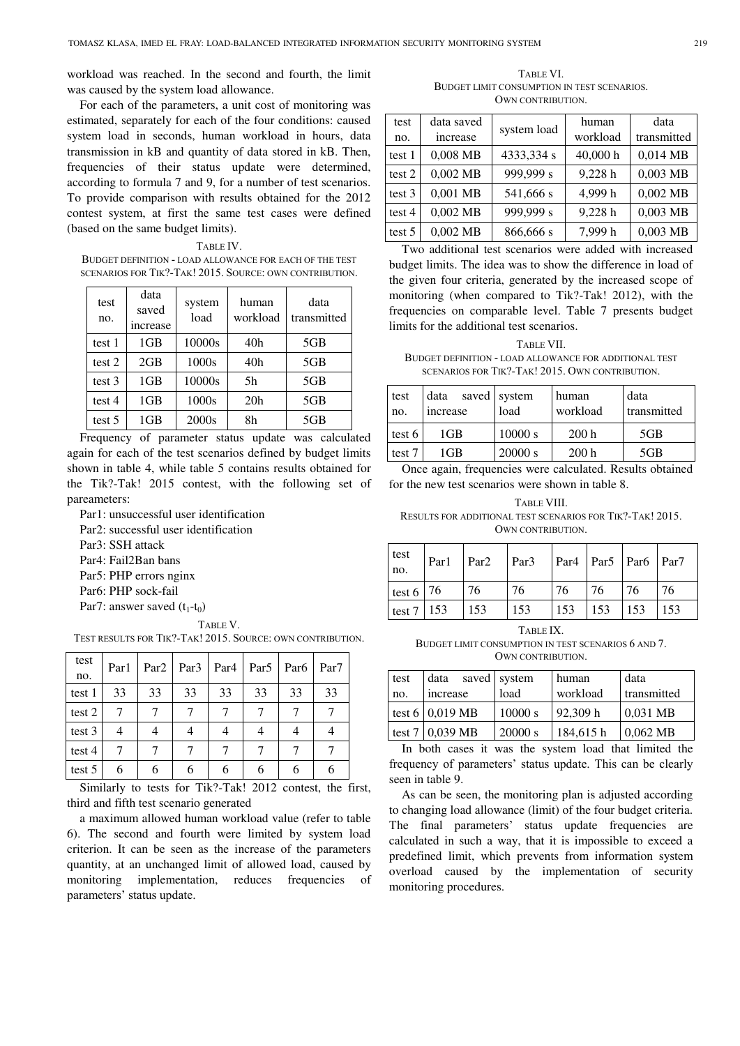workload was reached. In the second and fourth, the limit was caused by the system load allowance.

For each of the parameters, a unit cost of monitoring was estimated, separately for each of the four conditions: caused system load in seconds, human workload in hours, data transmission in kB and quantity of data stored in kB. Then, frequencies of their status update were determined, according to formula 7 and 9, for a number of test scenarios. To provide comparison with results obtained for the 2012 contest system, at first the same test cases were defined (based on the same budget limits).

TABLE IV. BUDGET DEFINITION - LOAD ALLOWANCE FOR EACH OF THE TEST SCENARIOS FOR TIK?-TAK! 2015. SOURCE: OWN CONTRIBUTION.

| test<br>no. | data<br>saved<br>increase | system<br>load | human<br>workload | data<br>transmitted |
|-------------|---------------------------|----------------|-------------------|---------------------|
| test 1      | 1GB                       | 10000s         | 40h               | 5GB                 |
| test 2      | 2GB                       | 1000s          | 40 <sub>h</sub>   | 5GB                 |
| test 3      | 1GB                       | 10000s         | 5h                | 5GB                 |
| test 4      | 1GB                       | 1000s          | 20h               | 5GB                 |
| test 5      | 1GB                       | 2000s          | 8h                | 5GB                 |

Frequency of parameter status update was calculated again for each of the test scenarios defined by budget limits shown in table 4, while table 5 contains results obtained for the Tik?-Tak! 2015 contest, with the following set of pareameters:

Par1: unsuccessful user identification Par2: successful user identification Par3: SSH attack Par4: Fail2Ban bans Par5: PHP errors nginx

Par6: PHP sock-fail

Par7: answer saved  $(t_1-t_0)$ 

TEST RESULTS FOR TIK?-TAK! 2015. SOURCE: OWN CONTRIBUTION.

| test<br>no. | Par1 |    | $Par2$ $Par3$ | Par <sub>4</sub> | Par <sub>5</sub> | Par <sub>6</sub> | Par <sub>7</sub> |
|-------------|------|----|---------------|------------------|------------------|------------------|------------------|
| test 1      | 33   | 33 | 33            | 33               | 33               | 33               | 33               |
| test 2      |      |    |               |                  |                  |                  |                  |
| test 3      | 4    |    |               |                  |                  |                  |                  |
| test 4      |      |    |               |                  |                  |                  |                  |
| test 5      |      |    | n             |                  |                  |                  |                  |

Similarly to tests for Tik?-Tak! 2012 contest, the first, third and fifth test scenario generated

a maximum allowed human workload value (refer to table 6). The second and fourth were limited by system load criterion. It can be seen as the increase of the parameters quantity, at an unchanged limit of allowed load, caused by monitoring implementation, reduces frequencies of parameters' status update.

TABLE VI. BUDGET LIMIT CONSUMPTION IN TEST SCENARIOS. OWN CONTRIBUTION.

| test     | data saved | system load | human    | data        |
|----------|------------|-------------|----------|-------------|
| no.      | increase   |             | workload | transmitted |
| test 1   | $0,008$ MB | 4333,334 s  | 40,000 h | $0,014$ MB  |
| test 2   | $0,002$ MB | 999,999 s   | 9,228 h  | $0,003$ MB  |
| test $3$ | 0,001 MB   | 541,666 s   | 4,999 h  | $0,002$ MB  |
| test $4$ | $0,002$ MB | 999,999 s   | 9,228 h  | $0,003$ MB  |
| test 5   | $0,002$ MB | 866,666 s   | 7,999 h  | $0,003$ MB  |

Two additional test scenarios were added with increased budget limits. The idea was to show the difference in load of the given four criteria, generated by the increased scope of monitoring (when compared to Tik?-Tak! 2012), with the frequencies on comparable level. Table 7 presents budget limits for the additional test scenarios.

TABLE VII. BUDGET DEFINITION - LOAD ALLOWANCE FOR ADDITIONAL TEST SCENARIOS FOR TIK?-TAK! 2015. OWN CONTRIBUTION.

| test<br>no. | data<br>increase | saved system<br>load | human<br>workload | data<br>transmitted |
|-------------|------------------|----------------------|-------------------|---------------------|
| test 6      | 1GB              | 10000 s              | 200h              | 5GB                 |
| test 7      | 1GB              | 20000 s              | 200h              | 5GB                 |

Once again, frequencies were calculated. Results obtained for the new test scenarios were shown in table 8.

| TABLE VIII.                                               |
|-----------------------------------------------------------|
| RESULTS FOR ADDITIONAL TEST SCENARIOS FOR TIK?-TAK! 2015. |
| <b>OWN CONTRIBUTION.</b>                                  |

| test<br>no.      |                                            |     |     |                   |  |
|------------------|--------------------------------------------|-----|-----|-------------------|--|
| test $6 \mid 76$ |                                            | 176 | 76  | 76 76 76          |  |
|                  | $\vert \text{test } 7 \vert 153 \vert 153$ |     | 153 | $153$ 153 153 153 |  |

TABLE IX.

BUDGET LIMIT CONSUMPTION IN TEST SCENARIOS 6 AND 7. OWN CONTRIBUTION.

| test | data            | saved system | human    | data        |
|------|-----------------|--------------|----------|-------------|
| no.  | increase        | load         | workload | transmitted |
|      | test 6 0,019 MB | 10000 s      | 92.309 h | $0.031$ MB  |
|      | test 7 0,039 MB | 20000 s      | 184,615h | $0,062$ MB  |

In both cases it was the system load that limited the frequency of parameters' status update. This can be clearly seen in table 9.

As can be seen, the monitoring plan is adjusted according to changing load allowance (limit) of the four budget criteria. The final parameters' status update frequencies are calculated in such a way, that it is impossible to exceed a predefined limit, which prevents from information system overload caused by the implementation of security monitoring procedures.

TABLE V.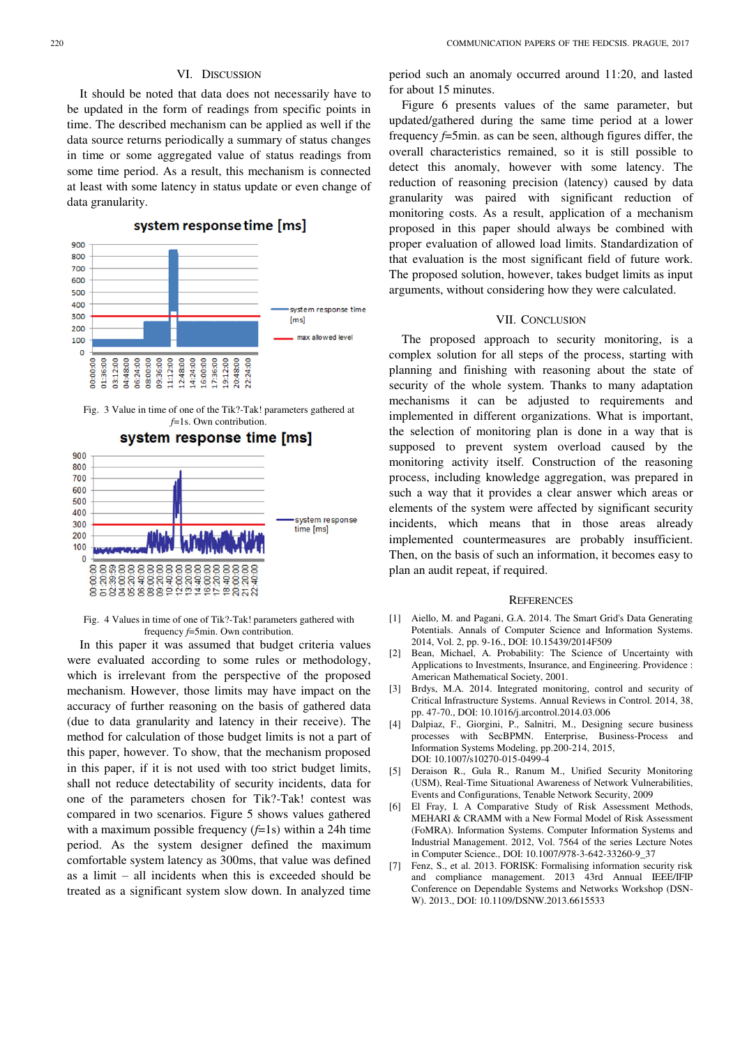### VI. DISCUSSION

It should be noted that data does not necessarily have to be updated in the form of readings from specific points in time. The described mechanism can be applied as well if the data source returns periodically a summary of status changes in time or some aggregated value of status readings from some time period. As a result, this mechanism is connected at least with some latency in status update or even change of data granularity.

## system response time [ms]



Fig. 3 Value in time of one of the Tik?-Tak! parameters gathered at *f*=1s. Own contribution.



Fig. 4 Values in time of one of Tik?-Tak! parameters gathered with frequency *f*=5min. Own contribution.

In this paper it was assumed that budget criteria values were evaluated according to some rules or methodology, which is irrelevant from the perspective of the proposed mechanism. However, those limits may have impact on the accuracy of further reasoning on the basis of gathered data (due to data granularity and latency in their receive). The method for calculation of those budget limits is not a part of this paper, however. To show, that the mechanism proposed in this paper, if it is not used with too strict budget limits, shall not reduce detectability of security incidents, data for one of the parameters chosen for Tik?-Tak! contest was compared in two scenarios. Figure 5 shows values gathered with a maximum possible frequency (*f*=1s) within a 24h time period. As the system designer defined the maximum comfortable system latency as 300ms, that value was defined as a limit – all incidents when this is exceeded should be treated as a significant system slow down. In analyzed time

period such an anomaly occurred around 11:20, and lasted for about 15 minutes.

Figure 6 presents values of the same parameter, but updated/gathered during the same time period at a lower frequency *f*=5min. as can be seen, although figures differ, the overall characteristics remained, so it is still possible to detect this anomaly, however with some latency. The reduction of reasoning precision (latency) caused by data granularity was paired with significant reduction of monitoring costs. As a result, application of a mechanism proposed in this paper should always be combined with proper evaluation of allowed load limits. Standardization of that evaluation is the most significant field of future work. The proposed solution, however, takes budget limits as input arguments, without considering how they were calculated.

#### VII. CONCLUSION

The proposed approach to security monitoring, is a complex solution for all steps of the process, starting with planning and finishing with reasoning about the state of security of the whole system. Thanks to many adaptation mechanisms it can be adjusted to requirements and implemented in different organizations. What is important, the selection of monitoring plan is done in a way that is supposed to prevent system overload caused by the monitoring activity itself. Construction of the reasoning process, including knowledge aggregation, was prepared in such a way that it provides a clear answer which areas or elements of the system were affected by significant security incidents, which means that in those areas already implemented countermeasures are probably insufficient. Then, on the basis of such an information, it becomes easy to plan an audit repeat, if required.

#### **REFERENCES**

- [1] Aiello, M. and Pagani, G.A. 2014. The Smart Grid's Data Generating Potentials. Annals of Computer Science and Information Systems. 2014, Vol. 2, pp. 9-16., DOI: 10.15439/2014F509
- [2] Bean, Michael, A. Probability: The Science of Uncertainty with Applications to Investments, Insurance, and Engineering. Providence : American Mathematical Society, 2001.
- [3] Brdys, M.A. 2014. Integrated monitoring, control and security of Critical Infrastructure Systems. Annual Reviews in Control. 2014, 38, pp. 47-70., DOI: 10.1016/j.arcontrol.2014.03.006
- [4] Dalpiaz, F., Giorgini, P., Salnitri, M., Designing secure business processes with SecBPMN. Enterprise, Business-Process and Information Systems Modeling, pp.200-214, 2015, DOI: 10.1007/s10270-015-0499-4
- [5] Deraison R., Gula R., Ranum M., Unified Security Monitoring (USM), Real-Time Situational Awareness of Network Vulnerabilities, Events and Configurations, Tenable Network Security, 2009
- [6] El Fray, I. A Comparative Study of Risk Assessment Methods, MEHARI & CRAMM with a New Formal Model of Risk Assessment (FoMRA). Information Systems. Computer Information Systems and Industrial Management. 2012, Vol. 7564 of the series Lecture Notes in Computer Science., DOI: 10.1007/978-3-642-33260-9\_37
- [7] Fenz, S., et al. 2013. FORISK: Formalising information security risk and compliance management. 2013 43rd Annual IEEE/IFIP Conference on Dependable Systems and Networks Workshop (DSN-W). 2013., DOI: 10.1109/DSNW.2013.6615533